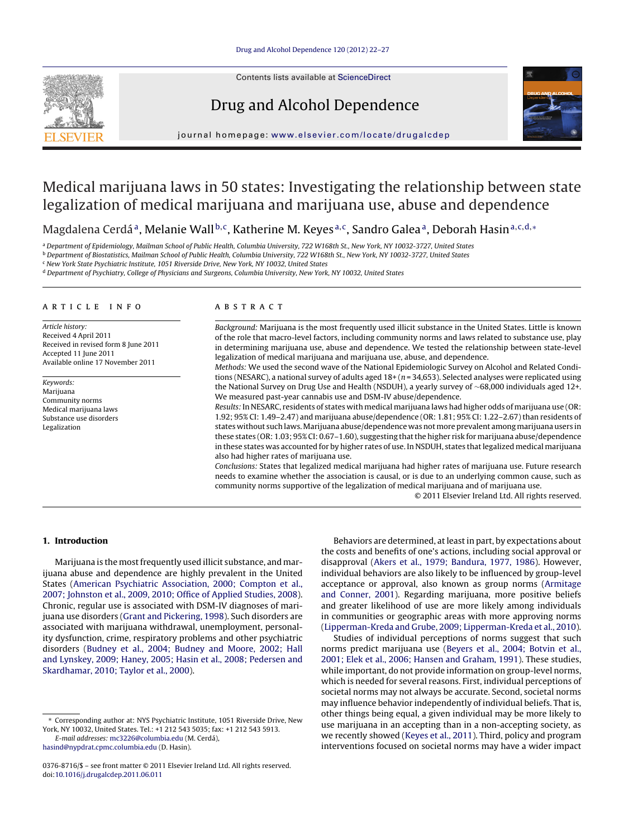

Contents lists available at [ScienceDirect](http://www.sciencedirect.com/science/journal/03768716)

# Drug and Alcohol Dependence



journal hom epage: [www.elsevier.com/locate/drugalcdep](http://www.elsevier.com/locate/drugalcdep)

# Medical marijuana laws in 50 states: Investigating the relationship between state legalization of medical marijuana and marijuana use, abuse and dependence

Magdalena Cerdá<sup>a</sup>, Melanie Wall<sup>b,c</sup>, Katherine M. Keyes<sup>a,c</sup>, Sandro Galea<sup>a</sup>, Deborah Hasin<sup>a,c,d,</sup>∗

<sup>a</sup> Department of Epidemiology, Mailman School of Public Health, Columbia University, 722 W168th St., New York, NY 10032-3727, United States

<sup>b</sup> Department of Biostatistics, Mailman School of Public Health, Columbia University, 722 W168th St., New York, NY 10032-3727, United States

 $c$  New York State Psychiatric Institute, 1051 Riverside Drive, New York, NY 10032, United States

<sup>d</sup> Department of Psychiatry, College of Physicians and Surgeons, Columbia University, New York, NY 10032, United States

# a r t i c l e i n f o

Article history: Received 4 April 2011 Received in revised form 8 June 2011 Accepted 11 June 2011 Available online 17 November 2011

Keywords: Marijuana Community norms Medical marijuana laws Substance use disorders Legalization

## A B S T R A C T

Background: Marijuana is the most frequently used illicit substance in the United States. Little is known of the role that macro-level factors, including community norms and laws related to substance use, play in determining marijuana use, abuse and dependence. We tested the relationship between state-level legalization of medical marijuana and marijuana use, abuse, and dependence.

Methods: We used the second wave of the National Epidemiologic Survey on Alcohol and Related Conditions (NESARC), a national survey of adults aged  $18+(n=34,653)$ . Selected analyses were replicated using the National Survey on Drug Use and Health (NSDUH), a yearly survey of ∼68,000 individuals aged 12+. We measured past-year cannabis use and DSM-IV abuse/dependence.

Results: In NESARC, residents of states with medical marijuana laws had higher odds of marijuana use (OR: 1.92; 95% CI: 1.49–2.47) and marijuana abuse/dependence (OR: 1.81; 95% CI: 1.22–2.67) than residents of states without suchlaws.Marijuana abuse/dependence wasnotmoreprevalent amongmarijuanausers in these states (OR: 1.03; 95%CI: 0.67–1.60), suggesting thatthe higher risk for marijuana abuse/dependence in these states was accounted for by higher rates of use. In NSDUH, states that legalized medical marijuana also had higher rates of marijuana use.

Conclusions: States that legalized medical marijuana had higher rates of marijuana use. Future research needs to examine whether the association is causal, or is due to an underlying common cause, such as community norms supportive of the legalization of medical marijuana and of marijuana use.

© 2011 Elsevier Ireland Ltd. All rights reserved.

# **1. Introduction**

Marijuana is the most frequently used illicit substance, and marijuana abuse and dependence are highly prevalent in the United States [\(American](#page-4-0) [Psychiatric](#page-4-0) [Association,](#page-4-0) [2000;](#page-4-0) [Compton](#page-4-0) et [al.,](#page-4-0) [2007;](#page-4-0) [Johnston](#page-4-0) [et](#page-4-0) [al.,](#page-4-0) [2009,](#page-4-0) [2010;](#page-4-0) [Office](#page-4-0) [of](#page-4-0) [Applied](#page-4-0) [Studies,](#page-4-0) [2008\).](#page-4-0) Chronic, regular use is associated with DSM-IV diagnoses of marijuana use disorders ([Grant](#page-5-0) [and](#page-5-0) [Pickering,](#page-5-0) [1998\).](#page-5-0) Such disorders are associated with marijuana withdrawal, unemployment, personality dysfunction, crime, respiratory problems and other psychiatric disorders [\(Budney](#page-4-0) et [al.,](#page-4-0) [2004;](#page-4-0) [Budney](#page-4-0) [and](#page-4-0) [Moore,](#page-4-0) [2002;](#page-4-0) [Hall](#page-4-0) [and](#page-4-0) [Lynskey,](#page-4-0) [2009;](#page-4-0) [Haney,](#page-4-0) [2005;](#page-4-0) [Hasin](#page-4-0) et [al.,](#page-4-0) [2008;](#page-4-0) [Pedersen](#page-4-0) [and](#page-4-0) [Skardhamar,](#page-4-0) [2010;](#page-4-0) [Taylor](#page-4-0) et [al.,](#page-4-0) [2000\).](#page-4-0)

[hasind@nypdrat.cpmc.columbia.edu](mailto:hasind@nypdrat.cpmc.columbia.edu) (D. Hasin).

Behaviors are determined, at least in part, by expectations about the costs and benefits of one's actions, including social approval or disapproval [\(Akers](#page-4-0) et [al.,](#page-4-0) [1979;](#page-4-0) [Bandura,](#page-4-0) [1977,](#page-4-0) [1986\).](#page-4-0) However, individual behaviors are also likely to be influenced by group-level acceptance or approval, also known as group norms [\(Armitage](#page-4-0) [and](#page-4-0) [Conner,](#page-4-0) [2001\).](#page-4-0) Regarding marijuana, more positive beliefs and greater likelihood of use are more likely among individuals in communities or geographic areas with more approving norms [\(Lipperman-Kreda](#page-5-0) [and](#page-5-0) [Grube,](#page-5-0) [2009;](#page-5-0) [Lipperman-Kreda](#page-5-0) et [al.,](#page-5-0) [2010\).](#page-5-0)

Studies of individual perceptions of norms suggest that such norms predict marijuana use ([Beyers](#page-4-0) et [al.,](#page-4-0) [2004;](#page-4-0) [Botvin](#page-4-0) et [al.,](#page-4-0) [2001;](#page-4-0) [Elek](#page-4-0) et [al.,](#page-4-0) [2006;](#page-4-0) [Hansen](#page-4-0) [and](#page-4-0) [Graham,](#page-4-0) [1991\).](#page-4-0) These studies, while important, do not provide information on group-level norms, which is needed for several reasons. First, individual perceptions of societal norms may not always be accurate. Second, societal norms may influence behavior independently of individual beliefs. That is, other things being equal, a given individual may be more likely to use marijuana in an accepting than in a non-accepting society, as we recently showed [\(Keyes](#page-5-0) et [al.,](#page-5-0) [2011\).](#page-5-0) Third, policy and program interventions focused on societal norms may have a wider impact

<sup>∗</sup> Corresponding author at: NYS Psychiatric Institute, 1051 Riverside Drive, New York, NY 10032, United States. Tel.: +1 212 543 5035; fax: +1 212 543 5913. E-mail addresses: [mc3226@columbia.edu](mailto:mc3226@columbia.edu) (M. Cerdá),

<sup>0376-8716/\$</sup> – see front matter © 2011 Elsevier Ireland Ltd. All rights reserved. doi:[10.1016/j.drugalcdep.2011.06.011](dx.doi.org/10.1016/j.drugalcdep.2011.06.011)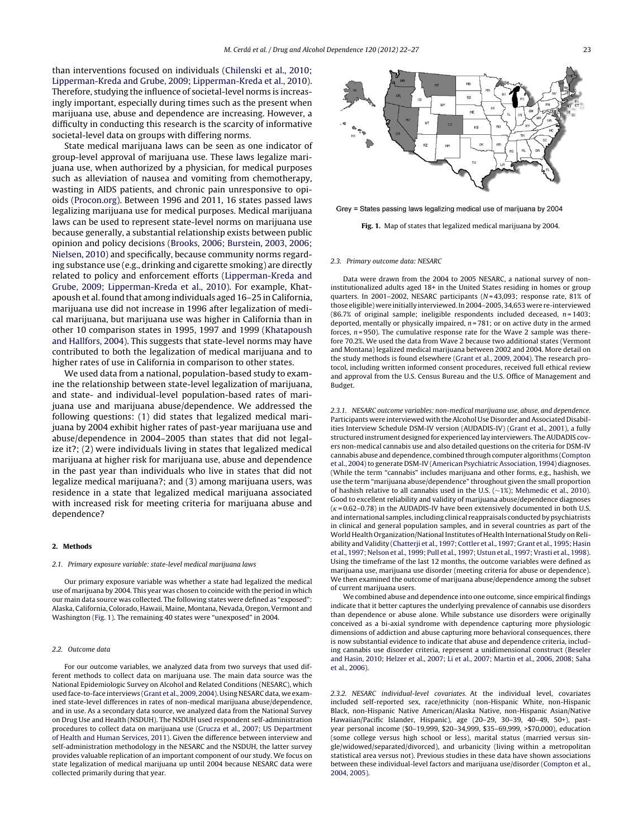than interventions focused on individuals [\(Chilenski](#page-4-0) et [al.,](#page-4-0) [2010;](#page-4-0) [Lipperman-Kreda](#page-4-0) [and](#page-4-0) [Grube,](#page-4-0) [2009;](#page-4-0) [Lipperman-Kreda](#page-4-0) et [al.,](#page-4-0) [2010\).](#page-4-0) Therefore, studying the influence of societal-level norms is increasingly important, especially during times such as the present when marijuana use, abuse and dependence are increasing. However, a difficulty in conducting this research is the scarcity of informative societal-level data on groups with differing norms.

State medical marijuana laws can be seen as one indicator of group-level approval of marijuana use. These laws legalize marijuana use, when authorized by a physician, for medical purposes such as alleviation of nausea and vomiting from chemotherapy, wasting in AIDS patients, and chronic pain unresponsive to opioids [\(Procon.org\).](#page-5-0) Between 1996 and 2011, 16 states passed laws legalizing marijuana use for medical purposes. Medical marijuana laws can be used to represent state-level norms on marijuana use because generally, a substantial relationship exists between public opinion and policy decisions ([Brooks,](#page-4-0) [2006;](#page-4-0) [Burstein,](#page-4-0) [2003,](#page-4-0) [2006;](#page-4-0) [Nielsen,](#page-4-0) [2010\)](#page-4-0) and specifically, because community norms regarding substance use (e.g., drinking and cigarette smoking) are directly related to policy and enforcement efforts [\(Lipperman-Kreda](#page-5-0) [and](#page-5-0) [Grube,](#page-5-0) [2009;](#page-5-0) [Lipperman-Kreda](#page-5-0) et [al.,](#page-5-0) [2010\).](#page-5-0) For example, Khatapoush et al.found that among individuals aged 16–25 in California, marijuana use did not increase in 1996 after legalization of medical marijuana, but marijuana use was higher in California than in other 10 comparison states in 1995, 1997 and 1999 [\(Khatapoush](#page-5-0) [and](#page-5-0) [Hallfors,](#page-5-0) [2004\).](#page-5-0) This suggests that state-level norms may have contributed to both the legalization of medical marijuana and to higher rates of use in California in comparison to other states.

We used data from a national, population-based study to examine the relationship between state-level legalization of marijuana, and state- and individual-level population-based rates of marijuana use and marijuana abuse/dependence. We addressed the following questions: (1) did states that legalized medical marijuana by 2004 exhibit higher rates of past-year marijuana use and abuse/dependence in 2004–2005 than states that did not legalize it?; (2) were individuals living in states that legalized medical marijuana at higher risk for marijuana use, abuse and dependence in the past year than individuals who live in states that did not legalize medical marijuana?; and (3) among marijuana users, was residence in a state that legalized medical marijuana associated with increased risk for meeting criteria for marijuana abuse and dependence?

#### **2. Methods**

### 2.1. Primary exposure variable: state-level medical marijuana laws

Our primary exposure variable was whether a state had legalized the medical use of marijuana by 2004. This year was chosen to coincide with the period in which our main data source was collected. The following states were defined as "exposed": Alaska, California, Colorado, Hawaii, Maine, Montana, Nevada, Oregon, Vermont and Washington (Fig. 1). The remaining 40 states were "unexposed" in 2004.

## 2.2. Outcome data

For our outcome variables, we analyzed data from two surveys that used different methods to collect data on marijuana use. The main data source was the National Epidemiologic Survey on Alcohol and Related Conditions (NESARC), which used face-to-face interviews ([Grant](#page-4-0) et [al.,](#page-4-0) [2009,](#page-4-0) [2004\).](#page-4-0) Using NESARC data, we examined state-level differences in rates of non-medical marijuana abuse/dependence, and in use. As a secondary data source, we analyzed data from the National Survey on Drug Use and Health (NSDUH). The NSDUH used respondent self-administration procedures to collect data on marijuana use [\(Grucza](#page-5-0) et [al.,](#page-5-0) [2007;](#page-5-0) [US](#page-5-0) [Department](#page-5-0) [of](#page-5-0) [Health](#page-5-0) [and](#page-5-0) [Human](#page-5-0) [Services,](#page-5-0) [2011\).](#page-5-0) Given the difference between interview and self-administration methodology in the NESARC and the NSDUH, the latter survey provides valuable replication of an important component of our study. We focus on state legalization of medical marijuana up until 2004 because NESARC data were collected primarily during that year.



Grey = States passing laws legalizing medical use of marijuana by 2004

**Fig. 1.** Map of states that legalized medical marijuana by 2004.

#### 2.3. Primary outcome data: NESARC

Data were drawn from the 2004 to 2005 NESARC, a national survey of noninstitutionalized adults aged 18+ in the United States residing in homes or group quarters. In 2001–2002, NESARC participants ( $N = 43,093$ ; response rate, 81% of those eligible) were initially interviewed.In2004–2005, 34,653 were re-interviewed (86.7% of original sample; ineligible respondents included deceased,  $n = 1403$ ; deported, mentally or physically impaired,  $n = 781$ ; or on active duty in the armed forces,  $n = 950$ ). The cumulative response rate for the Wave 2 sample was therefore 70.2%. We used the data from Wave 2 because two additional states (Vermont and Montana) legalized medical marijuana between 2002 and 2004. More detail on the study methods is found elsewhere [\(Grant](#page-4-0) et [al.,](#page-4-0) [2009,](#page-4-0) [2004\).](#page-4-0) The research protocol, including written informed consent procedures, received full ethical review and approval from the U.S. Census Bureau and the U.S. Office of Management and Budget.

2.3.1. NESARC outcome variables: non-medical marijuana use, abuse, and dependence. Participants were interviewed with the Alcohol Use Disorder and Associated Disabilities Interview Schedule DSM-IV version (AUDADIS-IV) ([Grant](#page-4-0) et [al.,](#page-4-0) [2001\),](#page-4-0) a fully structured instrument designed for experienced lay interviewers. The AUDADIS covers non-medical cannabis use and also detailed questions on the criteria for DSM-IV cannabis abuse and dependence, combined through computer algorithms ([Compton](#page-4-0) et [al.,](#page-4-0) 2004) to generate DSM-IV ([American](#page-4-0) [Psychiatric](#page-4-0) [Association,](#page-4-0) [1994\)](#page-4-0) diagnoses. (While the term "cannabis" includes marijuana and other forms, e.g., hashish, we use the term "marijuana abuse/dependence" throughout given the small proportion of hashish relative to all cannabis used in the U.S. (∼1%); [Mehmedic](#page-5-0) et [al.,](#page-5-0) [2010\).](#page-5-0) Good to excellent reliability and validity of marijuana abuse/dependence diagnoses  $(\kappa = 0.62 - 0.78)$  in the AUDADIS-IV have been extensively documented in both U.S. and international samples, including clinical reappraisals conducted by psychiatrists in clinical and general population samples, and in several countries as part of the World Health Organization/National Institutes of Health International Study on Reli-ability and Validity ([Chatterji](#page-4-0) et [al.,](#page-4-0) [1997;](#page-4-0) [Cottler](#page-4-0) et al., 1997; [Grant](#page-4-0) et al., [1995;](#page-4-0) [Hasin](#page-4-0) [et](#page-4-0) [al.,](#page-4-0) [1997;](#page-4-0) [Nelson](#page-4-0) et [al.,](#page-4-0) [1999;](#page-4-0) [Pull](#page-4-0) et [al.,](#page-4-0) [1997;](#page-4-0) [Ustun](#page-4-0) et [al.,](#page-4-0) [1997;](#page-4-0) [Vrasti](#page-4-0) et [al.,](#page-4-0) [1998\).](#page-4-0) Using the timeframe of the last 12 months, the outcome variables were defined as marijuana use, marijuana use disorder (meeting criteria for abuse or dependence). We then examined the outcome of marijuana abuse/dependence among the subset of current marijuana users.

We combined abuse and dependence into one outcome, since empirical findings indicate that it better captures the underlying prevalence of cannabis use disorders than dependence or abuse alone. While substance use disorders were originally conceived as a bi-axial syndrome with dependence capturing more physiologic dimensions of addiction and abuse capturing more behavioral consequences, there is now substantial evidence to indicate that abuse and dependence criteria, including cannabis use disorder criteria, represent a unidimensional construct ([Beseler](#page-4-0) [and](#page-4-0) [Hasin,](#page-4-0) [2010;](#page-4-0) [Helzer](#page-4-0) et [al.,](#page-4-0) [2007;](#page-4-0) [Li](#page-4-0) et [al.,](#page-4-0) [2007;](#page-4-0) [Martin](#page-4-0) et [al.,](#page-4-0) [2006,](#page-4-0) [2008;](#page-4-0) [Saha](#page-4-0) et [al.,](#page-4-0) [2006\).](#page-4-0)

2.3.2. NESARC individual-level covariates. At the individual level, covariates included self-reported sex, race/ethnicity (non-Hispanic White, non-Hispanic Black, non-Hispanic Native American/Alaska Native, non-Hispanic Asian/Native Hawaiian/Pacific Islander, Hispanic), age (20–29, 30–39, 40–49, 50+), pastyear personal income (\$0–19,999, \$20–34,999, \$35–69,999, >\$70,000), education (some college versus high school or less), marital status (married versus single/widowed/separated/divorced), and urbanicity (living within a metropolitan statistical area versus not). Previous studies in these data have shown associations between these individual-level factors and marijuana use/disorder [\(Compton](#page-4-0) et [al.,](#page-4-0) [2004,](#page-4-0) [2005\).](#page-4-0)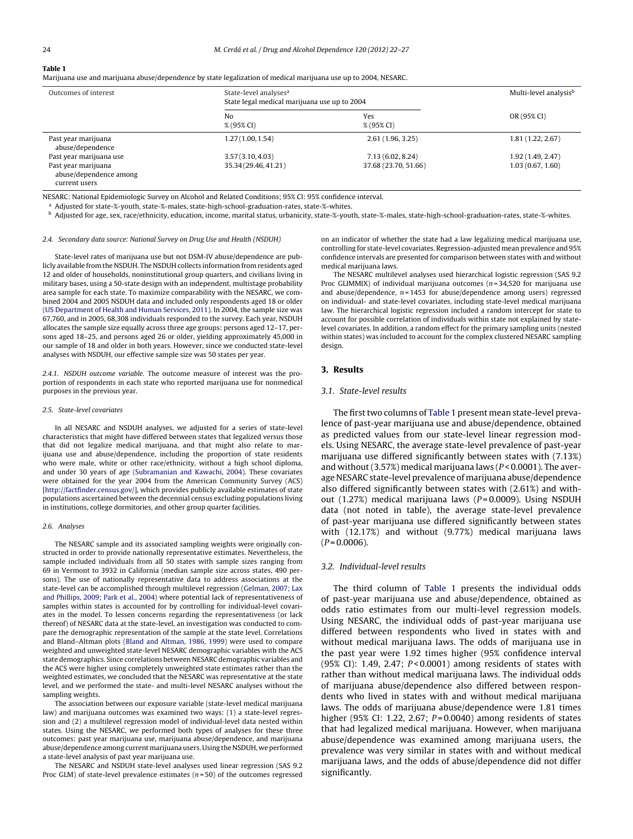# **Table 1**

Marijuana use and marijuana abuse/dependence by state legalization of medical marijuana use up to 2004, NESARC.

| Outcomes of interest                                           | State-level analyses <sup>a</sup><br>State legal medical marijuana use up to 2004 |                      | Multi-level analysis <sup>b</sup> |
|----------------------------------------------------------------|-----------------------------------------------------------------------------------|----------------------|-----------------------------------|
|                                                                | No<br>$\%$ (95% CI)                                                               | Yes<br>$\%$ (95% CI) | OR (95% CI)                       |
| Past year marijuana<br>abuse/dependence                        | 1.27 (1.00, 1.54)                                                                 | 2.61 (1.96, 3.25)    | 1.81(1.22, 2.67)                  |
| Past year marijuana use                                        | 3.57(3.10, 4.03)                                                                  | 7.13(6.02, 8.24)     | 1.92(1.49, 2.47)                  |
| Past year marijuana<br>abuse/dependence among<br>current users | 35.34(29.46, 41.21)                                                               | 37.68 (23.70, 51.66) | 1.03(0.67, 1.60)                  |

NESARC: National Epidemiologic Survey on Alcohol and Related Conditions; 95% CI: 95% confidence interval.

<sup>a</sup> Adjusted for state-%-youth, state-%-males, state-high-school-graduation-rates, state-%-whites.

<sup>b</sup> Adjusted for age, sex, race/ethnicity, education, income, marital status, urbanicity, state-%-youth, state-%-males, state-high-school-graduation-rates, state-%-whites.

#### 2.4. Secondary data source: National Survey on Drug Use and Health (NSDUH)

State-level rates of marijuana use but not DSM-IV abuse/dependence are publicly available from the NSDUH. The NSDUH collects information from residents aged 12 and older of households, noninstitutional group quarters, and civilians living in military bases, using a 50-state design with an independent, multistage probability area sample for each state. To maximize comparability with the NESARC, we combined 2004 and 2005 NSDUH data and included only respondents aged 18 or older [\(US](#page-5-0) [Department](#page-5-0) [of](#page-5-0) [Health](#page-5-0) [and](#page-5-0) [Human](#page-5-0) [Services,](#page-5-0) [2011\).](#page-5-0) In 2004, the sample size was 67,760, and in 2005, 68,308 individuals responded to the survey. Each year, NSDUH allocates the sample size equally across three age groups: persons aged 12–17, persons aged 18–25, and persons aged 26 or older, yielding approximately 45,000 in our sample of 18 and older in both years. However, since we conducted state-level analyses with NSDUH, our effective sample size was 50 states per year.

2.4.1. NSDUH outcome variable. The outcome measure of interest was the proportion of respondents in each state who reported marijuana use for nonmedical purposes in the previous year.

#### 2.5. State-level covariates

In all NESARC and NSDUH analyses, we adjusted for a series of state-level characteristics that might have differed between states that legalized versus those that did not legalize medical marijuana, and that might also relate to marijuana use and abuse/dependence, including the proportion of state residents who were male, white or other race/ethnicity, without a high school diploma, and under 30 years of age [\(Subramanian](#page-5-0) [and](#page-5-0) [Kawachi,](#page-5-0) [2004\).](#page-5-0) These covariates were obtained for the year 2004 from the American Community Survey (ACS) [\[http://factfinder.census.gov/\]](http://factfinder.census.gov/), which provides publicly available estimates of state populations ascertained between the decennial census excluding populations living in institutions, college dormitories, and other group quarter facilities.

#### 2.6. Analyses

The NESARC sample and its associated sampling weights were originally constructed in order to provide nationally representative estimates. Nevertheless, the sample included individuals from all 50 states with sample sizes ranging from 69 in Vermont to 3932 in California (median sample size across states, 490 persons). The use of nationally representative data to address associations at the state-level can be accomplished through multilevel regression [\(Gelman,](#page-4-0) [2007;](#page-4-0) [Lax](#page-4-0) [and](#page-4-0) [Phillips,](#page-4-0) [2009;](#page-4-0) [Park](#page-4-0) et [al.,](#page-4-0) [2004\)](#page-4-0) where potential lack of representativeness of samples within states is accounted for by controlling for individual-level covariates in the model. To lessen concerns regarding the representativeness (or lack thereof) of NESARC data at the state-level, an investigation was conducted to compare the demographic representation of the sample at the state level. Correlations and Bland–Altman plots [\(Bland](#page-4-0) [and](#page-4-0) [Altman,](#page-4-0) [1986,](#page-4-0) [1999\)](#page-4-0) were used to compare weighted and unweighted state-level NESARC demographic variables with the ACS state demographics. Since correlations between NESARC demographic variables and the ACS were higher using completely unweighted state estimates rather than the weighted estimates, we concluded that the NESARC was representative at the state level, and we performed the state- and multi-level NESARC analyses without the sampling weights.

The association between our exposure variable (state-level medical marijuana law) and marijuana outcomes was examined two ways: (1) a state-level regression and (2) a multilevel regression model of individual-level data nested within states. Using the NESARC, we performed both types of analyses for these three outcomes: past year marijuana use, marijuana abuse/dependence, and marijuana abuse/dependence among current marijuana users. Using the NSDUH, we performed a state-level analysis of past year marijuana use.

The NESARC and NSDUH state-level analyses used linear regression (SAS 9.2 Proc GLM) of state-level prevalence estimates ( $n = 50$ ) of the outcomes regressed on an indicator of whether the state had a law legalizing medical marijuana use, controlling for state-level covariates. Regression-adjusted mean prevalence and 95% confidence intervals are presented for comparison between states with and without medical marijuana laws.

The NESARC multilevel analyses used hierarchical logistic regression (SAS 9.2 Proc GLIMMIX) of individual marijuana outcomes ( $n = 34,520$  for marijuana use and abuse/dependence,  $n = 1453$  for abuse/dependence among users) regressed on individual- and state-level covariates, including state-level medical marijuana law. The hierarchical logistic regression included a random intercept for state to account for possible correlation of individuals within state not explained by statelevel covariates. In addition, a random effect for the primary sampling units (nested within states) was included to account for the complex clustered NESARC sampling design.

## **3. Results**

## 3.1. State-level results

The first two columns of Table 1 present mean state-level prevalence of past-year marijuana use and abuse/dependence, obtained as predicted values from our state-level linear regression models. Using NESARC, the average state-level prevalence of past-year marijuana use differed significantly between states with (7.13%) and without (3.57%) medical marijuana laws ( $P < 0.0001$ ). The average NESARC state-level prevalence of marijuana abuse/dependence also differed significantly between states with (2.61%) and without  $(1.27%)$  medical marijuana laws  $(P=0.0009)$ . Using NSDUH data (not noted in table), the average state-level prevalence of past-year marijuana use differed significantly between states with (12.17%) and without (9.77%) medical marijuana laws  $(P = 0.0006)$ .

## 3.2. Individual-level results

The third column of Table 1 presents the individual odds of past-year marijuana use and abuse/dependence, obtained as odds ratio estimates from our multi-level regression models. Using NESARC, the individual odds of past-year marijuana use differed between respondents who lived in states with and without medical marijuana laws. The odds of marijuana use in the past year were 1.92 times higher (95% confidence interval (95% CI): 1.49, 2.47; P < 0.0001) among residents of states with rather than without medical marijuana laws. The individual odds of marijuana abuse/dependence also differed between respondents who lived in states with and without medical marijuana laws. The odds of marijuana abuse/dependence were 1.81 times higher (95% CI: 1.22, 2.67;  $P = 0.0040$ ) among residents of states that had legalized medical marijuana. However, when marijuana abuse/dependence was examined among marijuana users, the prevalence was very similar in states with and without medical marijuana laws, and the odds of abuse/dependence did not differ significantly.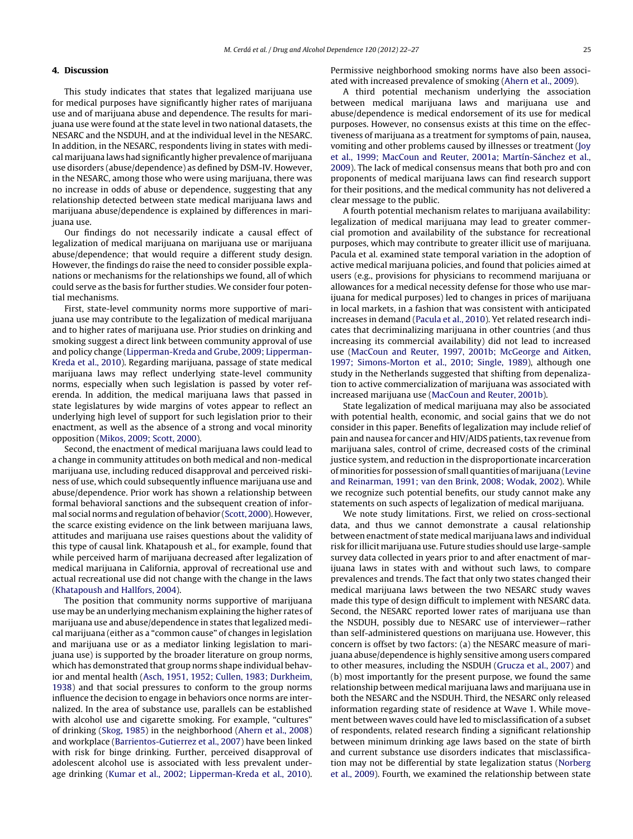## **4. Discussion**

This study indicates that states that legalized marijuana use for medical purposes have significantly higher rates of marijuana use and of marijuana abuse and dependence. The results for marijuana use were found at the state level in two national datasets, the NESARC and the NSDUH, and at the individual level in the NESARC. In addition, in the NESARC, respondents living in states with medical marijuana laws had significantly higher prevalence of marijuana use disorders (abuse/dependence) as defined by DSM-IV. However, in the NESARC, among those who were using marijuana, there was no increase in odds of abuse or dependence, suggesting that any relationship detected between state medical marijuana laws and marijuana abuse/dependence is explained by differences in marijuana use.

Our findings do not necessarily indicate a causal effect of legalization of medical marijuana on marijuana use or marijuana abuse/dependence; that would require a different study design. However, the findings do raise the need to consider possible explanations or mechanisms for the relationships we found, all of which could serve as the basis for further studies. We consider four potential mechanisms.

First, state-level community norms more supportive of marijuana use may contribute to the legalization of medical marijuana and to higher rates of marijuana use. Prior studies on drinking and smoking suggest a direct link between community approval of use and policy change [\(Lipperman-Kreda](#page-5-0) [and](#page-5-0) [Grube,](#page-5-0) [2009;](#page-5-0) [Lipperman-](#page-5-0)Kreda et [al.,](#page-5-0) [2010\).](#page-5-0) Regarding marijuana, passage of state medical marijuana laws may reflect underlying state-level community norms, especially when such legislation is passed by voter referenda. In addition, the medical marijuana laws that passed in state legislatures by wide margins of votes appear to reflect an underlying high level of support for such legislation prior to their enactment, as well as the absence of a strong and vocal minority opposition ([Mikos,](#page-5-0) [2009;](#page-5-0) [Scott,](#page-5-0) [2000\).](#page-5-0)

Second, the enactment of medical marijuana laws could lead to a change in community attitudes on both medical and non-medical marijuana use, including reduced disapproval and perceived riskiness of use, which could subsequently influence marijuana use and abuse/dependence. Prior work has shown a relationship between formal behavioral sanctions and the subsequent creation of informal social norms and regulation of behavior [\(Scott,](#page-5-0) [2000\).](#page-5-0) However, the scarce existing evidence on the link between marijuana laws, attitudes and marijuana use raises questions about the validity of this type of causal link. Khatapoush et al., for example, found that while perceived harm of marijuana decreased after legalization of medical marijuana in California, approval of recreational use and actual recreational use did not change with the change in the laws ([Khatapoush](#page-5-0) [and](#page-5-0) [Hallfors,](#page-5-0) [2004\).](#page-5-0)

The position that community norms supportive of marijuana use may be an underlying mechanism explaining the higher rates of marijuana use and abuse/dependence in states that legalized medical marijuana (either as a "common cause" of changes in legislation and marijuana use or as a mediator linking legislation to marijuana use) is supported by the broader literature on group norms, which has demonstrated that group norms shape individual behavior and mental health [\(Asch,](#page-4-0) [1951,](#page-4-0) [1952;](#page-4-0) [Cullen,](#page-4-0) [1983;](#page-4-0) [Durkheim,](#page-4-0) [1938\)](#page-4-0) and that social pressures to conform to the group norms influence the decision to engage in behaviors once norms are internalized. In the area of substance use, parallels can be established with alcohol use and cigarette smoking. For example, "cultures" of drinking [\(Skog,](#page-5-0) [1985\)](#page-5-0) in the neighborhood [\(Ahern](#page-4-0) [et](#page-4-0) [al.,](#page-4-0) [2008\)](#page-4-0) and workplace ([Barrientos-Gutierrez](#page-4-0) et [al.,](#page-4-0) [2007\)](#page-4-0) have been linked with risk for binge drinking. Further, perceived disapproval of adolescent alcohol use is associated with less prevalent underage drinking ([Kumar](#page-5-0) et [al.,](#page-5-0) [2002;](#page-5-0) [Lipperman-Kreda](#page-5-0) et [al.,](#page-5-0) [2010\).](#page-5-0) Permissive neighborhood smoking norms have also been associated with increased prevalence of smoking ([Ahern](#page-4-0) et [al.,](#page-4-0) [2009\).](#page-4-0)

A third potential mechanism underlying the association between medical marijuana laws and marijuana use and abuse/dependence is medical endorsement of its use for medical purposes. However, no consensus exists at this time on the effectiveness of marijuana as a treatment for symptoms of pain, nausea, vomiting and other problems caused by illnesses or treatment [\(Joy](#page-5-0) et [al.,](#page-5-0) [1999;](#page-5-0) [MacCoun](#page-5-0) [and](#page-5-0) [Reuter,](#page-5-0) [2001a;](#page-5-0) [Martín-Sánchez](#page-5-0) et [al.,](#page-5-0) [2009\).](#page-5-0) The lack of medical consensus means that both pro and con proponents of medical marijuana laws can find research support for their positions, and the medical community has not delivered a clear message to the public.

A fourth potential mechanism relates to marijuana availability: legalization of medical marijuana may lead to greater commercial promotion and availability of the substance for recreational purposes, which may contribute to greater illicit use of marijuana. Pacula et al. examined state temporal variation in the adoption of active medical marijuana policies, and found that policies aimed at users (e.g., provisions for physicians to recommend marijuana or allowances for a medical necessity defense for those who use marijuana for medical purposes) led to changes in prices of marijuana in local markets, in a fashion that was consistent with anticipated increases in demand ([Pacula](#page-5-0) et [al.,](#page-5-0) [2010\).](#page-5-0) Yet related research indicates that decriminalizing marijuana in other countries (and thus increasing its commercial availability) did not lead to increased use [\(MacCoun](#page-5-0) [and](#page-5-0) [Reuter,](#page-5-0) [1997,](#page-5-0) [2001b;](#page-5-0) [McGeorge](#page-5-0) [and](#page-5-0) [Aitken,](#page-5-0) [1997;](#page-5-0) [Simons-Morton](#page-5-0) et [al.,](#page-5-0) [2010;](#page-5-0) [Single,](#page-5-0) [1989\),](#page-5-0) although one study in the Netherlands suggested that shifting from depenalization to active commercialization of marijuana was associated with increased marijuana use [\(MacCoun](#page-5-0) [and](#page-5-0) [Reuter,](#page-5-0) [2001b\).](#page-5-0)

State legalization of medical marijuana may also be associated with potential health, economic, and social gains that we do not consider in this paper. Benefits of legalization may include relief of pain and nausea for cancer and HIV/AIDS patients, tax revenue from marijuana sales, control of crime, decreased costs of the criminal justice system, and reduction in the disproportionate incarceration of minorities for possession of small quantities of marijuana [\(Levine](#page-5-0) [and](#page-5-0) [Reinarman,](#page-5-0) [1991;](#page-5-0) [van](#page-5-0) [den](#page-5-0) [Brink,](#page-5-0) [2008;](#page-5-0) [Wodak,](#page-5-0) [2002\).](#page-5-0) While we recognize such potential benefits, our study cannot make any statements on such aspects of legalization of medical marijuana.

We note study limitations. First, we relied on cross-sectional data, and thus we cannot demonstrate a causal relationship between enactment of state medical marijuana laws and individual risk for illicit marijuana use. Future studies should use large-sample survey data collected in years prior to and after enactment of marijuana laws in states with and without such laws, to compare prevalences and trends. The fact that only two states changed their medical marijuana laws between the two NESARC study waves made this type of design difficult to implement with NESARC data. Second, the NESARC reported lower rates of marijuana use than the NSDUH, possibly due to NESARC use of interviewer—rather than self-administered questions on marijuana use. However, this concern is offset by two factors: (a) the NESARC measure of marijuana abuse/dependence is highly sensitive among users compared to other measures, including the NSDUH [\(Grucza](#page-5-0) et [al.,](#page-5-0) [2007\)](#page-5-0) and (b) most importantly for the present purpose, we found the same relationship between medical marijuana laws and marijuana use in both the NESARC and the NSDUH. Third, the NESARC only released information regarding state of residence at Wave 1. While movement between waves could have led to misclassification of a subset of respondents, related research finding a significant relationship between minimum drinking age laws based on the state of birth and current substance use disorders indicates that misclassification may not be differential by state legalization status ([Norberg](#page-5-0) et [al.,](#page-5-0) [2009\).](#page-5-0) Fourth, we examined the relationship between state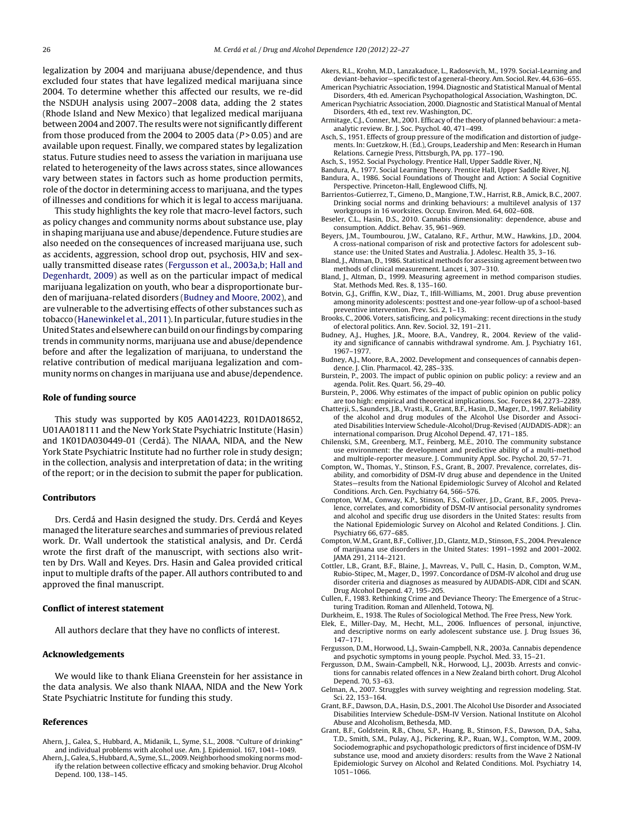<span id="page-4-0"></span>legalization by 2004 and marijuana abuse/dependence, and thus excluded four states that have legalized medical marijuana since 2004. To determine whether this affected our results, we re-did the NSDUH analysis using 2007–2008 data, adding the 2 states (Rhode Island and New Mexico) that legalized medical marijuana between 2004 and 2007. The results were not significantly different from those produced from the 2004 to 2005 data ( $P > 0.05$ ) and are available upon request. Finally, we compared states by legalization status. Future studies need to assess the variation in marijuana use related to heterogeneity of the laws across states, since allowances vary between states in factors such as home production permits, role ofthe doctor in determining access to marijuana, and the types of illnesses and conditions for which it is legal to access marijuana.

This study highlights the key role that macro-level factors, such as policy changes and community norms about substance use, play in shaping marijuana use and abuse/dependence. Future studies are also needed on the consequences of increased marijuana use, such as accidents, aggression, school drop out, psychosis, HIV and sexually transmitted disease rates (Fergusson et al., 2003a,b; Hall and Degenhardt, 2009) as well as on the particular impact of medical marijuana legalization on youth, who bear a disproportionate burden of marijuana-related disorders (Budney and Moore, 2002), and are vulnerable to the advertising effects of other substances such as tobacco ([Hanewinkel](#page-5-0) et [al.,](#page-5-0) [2011\).](#page-5-0) In particular, future studies in the United States and elsewhere canbuild onourfindings by comparing trends in community norms, marijuana use and abuse/dependence before and after the legalization of marijuana, to understand the relative contribution of medical marijuana legalization and community norms on changes in marijuana use and abuse/dependence.

## **Role of funding source**

This study was supported by K05 AA014223, R01DA018652, U01AA018111 and the New York State Psychiatric Institute (Hasin) and 1K01DA030449-01 (Cerdá). The NIAAA, NIDA, and the New York State Psychiatric Institute had no further role in study design; in the collection, analysis and interpretation of data; in the writing of the report; or in the decision to submit the paper for publication.

# **Contributors**

Drs. Cerdá and Hasin designed the study. Drs. Cerdá and Keyes managed the literature searches and summaries of previous related work. Dr. Wall undertook the statistical analysis, and Dr. Cerdá wrote the first draft of the manuscript, with sections also written by Drs. Wall and Keyes. Drs. Hasin and Galea provided critical input to multiple drafts of the paper. All authors contributed to and approved the final manuscript.

## **Conflict of interest statement**

All authors declare that they have no conflicts of interest.

## **Acknowledgements**

We would like to thank Eliana Greenstein for her assistance in the data analysis. We also thank NIAAA, NIDA and the New York State Psychiatric Institute for funding this study.

#### **References**

- Ahern, J., Galea, S., Hubbard, A., Midanik, L., Syme, S.L., 2008. "Culture of drinking" and individual problems with alcohol use. Am. J. Epidemiol. 167, 1041–1049.
- Ahern, J., Galea, S., Hubbard, A., Syme, S.L., 2009. Neighborhood smoking norms modify the relation between collective efficacy and smoking behavior. Drug Alcohol Depend. 100, 138–145.
- Akers, R.L., Krohn, M.D., Lanzakaduce, L., Radosevich, M., 1979. Social-Learning and deviant-behavior—specific test of a general-theory.Am. Sociol.Rev. 44, 636–655.
- American Psychiatric Association, 1994. Diagnostic and Statistical Manual of Mental Disorders, 4th ed. American Psychopathological Association, Washington, DC.
- American Psychiatric Association, 2000. Diagnostic and Statistical Manual of Mental Disorders, 4th ed., text rev. Washington, DC.
- Armitage, C.J., Conner, M., 2001. Efficacy of the theory of planned behaviour: a metaanalytic review. Br. J. Soc. Psychol. 40, 471–499.
- Asch, S., 1951. Effects of group pressure of the modification and distortion of judgements. In: Guetzkow, H. (Ed.), Groups, Leadership and Men: Research in Human Relations. Carnegie Press, Pittsburgh, PA, pp. 177–190.
- Asch, S., 1952. Social Psychology. Prentice Hall, Upper Saddle River, NJ.
- Bandura, A., 1977. Social Learning Theory. Prentice Hall, Upper Saddle River, NJ.
- Bandura, A., 1986. Social Foundations of Thought and Action: A Social Cognitive Perspective. Princeton-Hall, Englewood Cliffs, NJ.
- Barrientos-Gutierrez, T., Gimeno, D., Mangione, T.W., Harrist, R.B., Amick, B.C., 2007. Drinking social norms and drinking behaviours: a multilevel analysis of 137 workgroups in 16 worksites. Occup. Environ. Med. 64, 602–608.
- Beseler, C.L., Hasin, D.S., 2010. Cannabis dimensionality: dependence, abuse and consumption. Addict. Behav. 35, 961–969.
- Beyers, J.M., Toumbourou, J.W., Catalano, R.F., Arthur, M.W., Hawkins, J.D., 2004. A cross-national comparison of risk and protective factors for adolescent substance use: the United States and Australia. J. Adolesc. Health 35, 3–16.
- Bland, J., Altman, D., 1986. Statistical methods for assessing agreement between two methods of clinical measurement. Lancet i, 307–310.
- Bland, J., Altman, D., 1999. Measuring agreement in method comparison studies. Stat. Methods Med. Res. 8, 135–160.
- Botvin, G.J., Griffin, K.W., Diaz, T., Ifill-Williams, M., 2001. Drug abuse prevention among minority adolescents: posttest and one-year follow-up of a school-based preventive intervention. Prev. Sci. 2, 1–13.
- Brooks, C., 2006. Voters, satisficing, and policymaking: recent directions in the study of electoral politics. Ann. Rev. Sociol. 32, 191–211.
- Budney, A.J., Hughes, J.R., Moore, B.A., Vandrey, R., 2004. Review of the validity and significance of cannabis withdrawal syndrome. Am. J. Psychiatry 161, 1967–1977.
- Budney, A.J., Moore, B.A., 2002. Development and consequences of cannabis dependence. J. Clin. Pharmacol. 42, 28S–33S.
- Burstein, P., 2003. The impact of public opinion on public policy: a review and an agenda. Polit. Res. Quart. 56, 29–40.
- Burstein, P., 2006. Why estimates of the impact of public opinion on public policy are too high: empirical and theoretical implications. Soc. Forces 84, 2273–2289.
- Chatterji, S., Saunders, J.B., Vrasti, R., Grant, B.F., Hasin, D., Mager, D., 1997. Reliability of the alcohol and drug modules of the Alcohol Use Disorder and Associated Disabilities Interview Schedule-Alcohol/Drug-Revised (AUDADIS-ADR): an international comparison. Drug Alcohol Depend. 47, 171–185.
- Chilenski, S.M., Greenberg, M.T., Feinberg, M.E., 2010. The community substance use environment: the development and predictive ability of a multi-method and multiple-reporter measure. J. Community Appl. Soc. Psychol. 20, 57–71.
- Compton, W., Thomas, Y., Stinson, F.S., Grant, B., 2007. Prevalence, correlates, disability, and comorbidity of DSM-IV drug abuse and dependence in the United States—results from the National Epidemiologic Survey of Alcohol and Related Conditions. Arch. Gen. Psychiatry 64, 566–576.
- Compton, W.M., Conway, K.P., Stinson, F.S., Colliver, J.D., Grant, B.F., 2005. Prevalence, correlates, and comorbidity of DSM-IV antisocial personality syndromes and alcohol and specific drug use disorders in the United States: results from the National Epidemiologic Survey on Alcohol and Related Conditions. J. Clin. Psychiatry 66, 677–685.
- Compton, W.M., Grant, B.F., Colliver, J.D., Glantz, M.D., Stinson, F.S., 2004. Prevalence of marijuana use disorders in the United States: 1991–1992 and 2001–2002. JAMA 291, 2114–2121.
- Cottler, L.B., Grant, B.F., Blaine, J., Mavreas, V., Pull, C., Hasin, D., Compton, W.M., Rubio-Stipec, M., Mager, D., 1997. Concordance of DSM-IV alcohol and drug use disorder criteria and diagnoses as measured by AUDADIS-ADR, CIDI and SCAN. Drug Alcohol Depend. 47, 195–205.
- Cullen, F., 1983. Rethinking Crime and Deviance Theory: The Emergence of a Structuring Tradition. Roman and Allenheld, Totowa, NJ.
- Durkheim, E., 1938. The Rules of Sociological Method. The Free Press, New York.
- Elek, E., Miller-Day, M., Hecht, M.L., 2006. Influences of personal, injunctive, and descriptive norms on early adolescent substance use. J. Drug Issues 36, 147–171.
- Fergusson, D.M., Horwood, L.J., Swain-Campbell, N.R., 2003a. Cannabis dependence and psychotic symptoms in young people. Psychol. Med. 33, 15–21.
- Fergusson, D.M., Swain-Campbell, N.R., Horwood, L.J., 2003b. Arrests and convictions for cannabis related offences in a New Zealand birth cohort. Drug Alcohol Depend. 70, 53–63.
- Gelman, A., 2007. Struggles with survey weighting and regression modeling. Stat. Sci. 22, 153–164.
- Grant, B.F., Dawson, D.A., Hasin, D.S., 2001. The Alcohol Use Disorder and Associated Disabilities Interview Schedule-DSM-IV Version. National Institute on Alcohol Abuse and Alcoholism, Bethesda, MD.
- Grant, B.F., Goldstein, R.B., Chou, S.P., Huang, B., Stinson, F.S., Dawson, D.A., Saha, T.D., Smith, S.M., Pulay, A.J., Pickering, R.P., Ruan, W.J., Compton, W.M., 2009. Sociodemographic and psychopathologic predictors of firstincidence of DSM-IV substance use, mood and anxiety disorders: results from the Wave 2 National Epidemiologic Survey on Alcohol and Related Conditions. Mol. Psychiatry 14, 1051–1066.